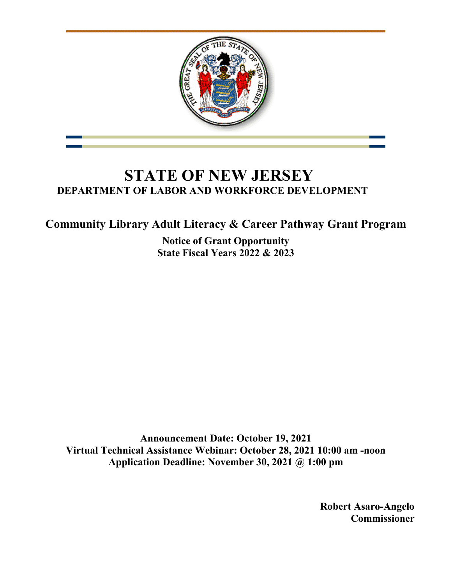

# **STATE OF NEW JERSEY DEPARTMENT OF LABOR AND WORKFORCE DEVELOPMENT**

**Community Library Adult Literacy & Career Pathway Grant Program**

**Notice of Grant Opportunity State Fiscal Years 2022 & 2023**

**Announcement Date: October 19, 2021 Virtual Technical Assistance Webinar: October 28, 2021 10:00 am -noon Application Deadline: November 30, 2021 @ 1:00 pm**

> **Robert Asaro-Angelo Commissioner**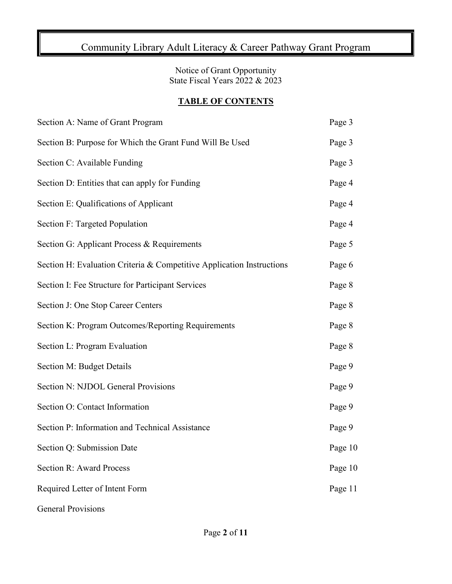## Community Library Adult Literacy & Career Pathway Grant Program

Notice of Grant Opportunity State Fiscal Years 2022 & 2023

#### **TABLE OF CONTENTS**

| Section A: Name of Grant Program                                      | Page 3  |
|-----------------------------------------------------------------------|---------|
| Section B: Purpose for Which the Grant Fund Will Be Used              | Page 3  |
| Section C: Available Funding                                          | Page 3  |
| Section D: Entities that can apply for Funding                        | Page 4  |
| Section E: Qualifications of Applicant                                | Page 4  |
| Section F: Targeted Population                                        | Page 4  |
| Section G: Applicant Process & Requirements                           | Page 5  |
| Section H: Evaluation Criteria & Competitive Application Instructions | Page 6  |
| Section I: Fee Structure for Participant Services                     | Page 8  |
| Section J: One Stop Career Centers                                    | Page 8  |
| Section K: Program Outcomes/Reporting Requirements                    | Page 8  |
| Section L: Program Evaluation                                         | Page 8  |
| Section M: Budget Details                                             | Page 9  |
| Section N: NJDOL General Provisions                                   | Page 9  |
| Section O: Contact Information                                        | Page 9  |
| Section P: Information and Technical Assistance                       | Page 9  |
| Section Q: Submission Date                                            | Page 10 |
| <b>Section R: Award Process</b>                                       | Page 10 |
| Required Letter of Intent Form                                        | Page 11 |
| <b>General Provisions</b>                                             |         |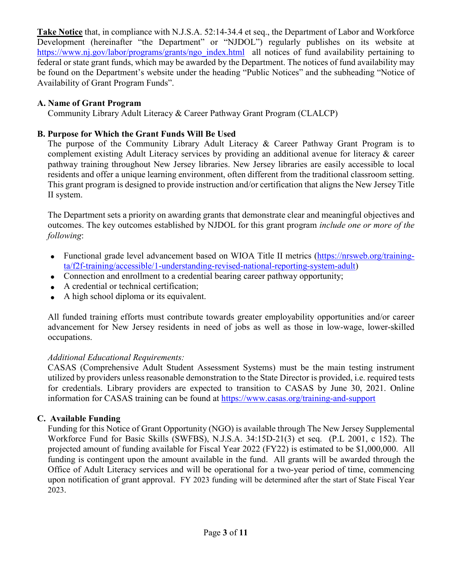**Take Notice** that, in compliance with N.J.S.A. 52:14-34.4 et seq., the Department of Labor and Workforce Development (hereinafter "the Department" or "NJDOL") regularly publishes on its website at [https://www.nj.gov/labor/programs/grants/ngo\\_index.html](https://www.nj.gov/labor/programs/grants/ngo_index.html) all notices of fund availability pertaining to federal or state grant funds, which may be awarded by the Department. The notices of fund availability may be found on the Department's website under the heading "Public Notices" and the subheading "Notice of Availability of Grant Program Funds".

#### **A. Name of Grant Program**

Community Library Adult Literacy & Career Pathway Grant Program (CLALCP)

### **B. Purpose for Which the Grant Funds Will Be Used**

The purpose of the Community Library Adult Literacy & Career Pathway Grant Program is to complement existing Adult Literacy services by providing an additional avenue for literacy & career pathway training throughout New Jersey libraries. New Jersey libraries are easily accessible to local residents and offer a unique learning environment, often different from the traditional classroom setting. This grant program is designed to provide instruction and/or certification that aligns the New Jersey Title II system.

The Department sets a priority on awarding grants that demonstrate clear and meaningful objectives and outcomes. The key outcomes established by NJDOL for this grant program *include one or more of the following*:

- Functional grade level advancement based on WIOA Title II metrics [\(https://nrsweb.org/training](https://nrsweb.org/training-ta/f2f-training/accessible/1-understanding-revised-national-reporting-system-adult)[ta/f2f-training/accessible/1-understanding-revised-national-reporting-system-adult\)](https://nrsweb.org/training-ta/f2f-training/accessible/1-understanding-revised-national-reporting-system-adult)
- Connection and enrollment to a credential bearing career pathway opportunity;
- A credential or technical certification;
- A high school diploma or its equivalent.

All funded training efforts must contribute towards greater employability opportunities and/or career advancement for New Jersey residents in need of jobs as well as those in low-wage, lower-skilled occupations.

#### *Additional Educational Requirements:*

CASAS (Comprehensive Adult Student Assessment Systems) must be the main testing instrument utilized by providers unless reasonable demonstration to the State Director is provided, i.e. required tests for credentials. Library providers are expected to transition to CASAS by June 30, 2021. Online information for CASAS training can be found at<https://www.casas.org/training-and-support>

## **C. Available Funding**

Funding for this Notice of Grant Opportunity (NGO) is available through The New Jersey Supplemental Workforce Fund for Basic Skills (SWFBS), N.J.S.A. 34:15D-21(3) et seq. (P.L 2001, c 152). The projected amount of funding available for Fiscal Year 2022 (FY22) is estimated to be \$1,000,000. All funding is contingent upon the amount available in the fund. All grants will be awarded through the Office of Adult Literacy services and will be operational for a two-year period of time, commencing upon notification of grant approval. FY 2023 funding will be determined after the start of State Fiscal Year 2023.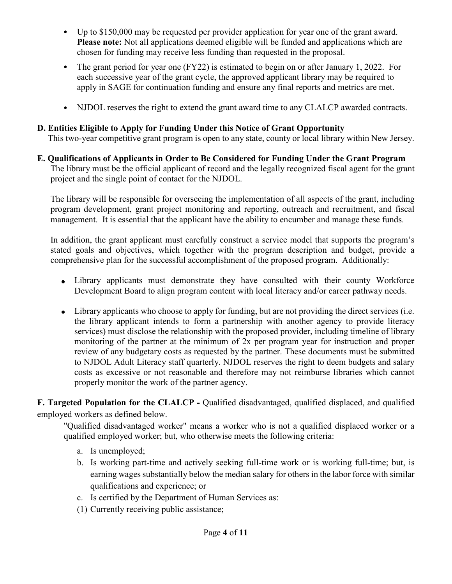- Up to \$150,000 may be requested per provider application for year one of the grant award. **Please note:** Not all applications deemed eligible will be funded and applications which are chosen for funding may receive less funding than requested in the proposal.
- The grant period for year one (FY22) is estimated to begin on or after January 1, 2022. For each successive year of the grant cycle, the approved applicant library may be required to apply in SAGE for continuation funding and ensure any final reports and metrics are met.
- NJDOL reserves the right to extend the grant award time to any CLALCP awarded contracts.

## **D. Entities Eligible to Apply for Funding Under this Notice of Grant Opportunity**

This two-year competitive grant program is open to any state, county or local library within New Jersey.

**E. Qualifications of Applicants in Order to Be Considered for Funding Under the Grant Program** The library must be the official applicant of record and the legally recognized fiscal agent for the grant project and the single point of contact for the NJDOL.

The library will be responsible for overseeing the implementation of all aspects of the grant, including program development, grant project monitoring and reporting, outreach and recruitment, and fiscal management. It is essential that the applicant have the ability to encumber and manage these funds.

In addition, the grant applicant must carefully construct a service model that supports the program's stated goals and objectives, which together with the program description and budget, provide a comprehensive plan for the successful accomplishment of the proposed program. Additionally:

- Library applicants must demonstrate they have consulted with their county Workforce Development Board to align program content with local literacy and/or career pathway needs.
- Library applicants who choose to apply for funding, but are not providing the direct services (i.e. the library applicant intends to form a partnership with another agency to provide literacy services) must disclose the relationship with the proposed provider, including timeline of library monitoring of the partner at the minimum of 2x per program year for instruction and proper review of any budgetary costs as requested by the partner. These documents must be submitted to NJDOL Adult Literacy staff quarterly. NJDOL reserves the right to deem budgets and salary costs as excessive or not reasonable and therefore may not reimburse libraries which cannot properly monitor the work of the partner agency.

**F. Targeted Population for the CLALCP -** Qualified disadvantaged, qualified displaced, and qualified employed workers as defined below.

"Qualified disadvantaged worker" means a worker who is not a qualified displaced worker or a qualified employed worker; but, who otherwise meets the following criteria:

- a. Is unemployed;
- b. Is working part-time and actively seeking full-time work or is working full-time; but, is earning wages substantially below the median salary for others in the labor force with similar qualifications and experience; or
- c. Is certified by the Department of Human Services as:
- (1) Currently receiving public assistance;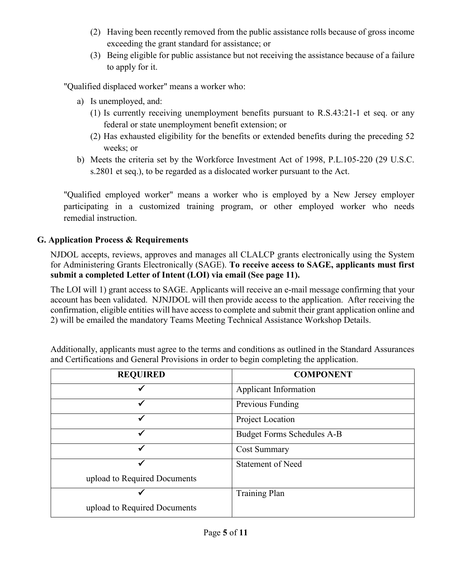- (2) Having been recently removed from the public assistance rolls because of gross income exceeding the grant standard for assistance; or
- (3) Being eligible for public assistance but not receiving the assistance because of a failure to apply for it.

"Qualified displaced worker" means a worker who:

- a) Is unemployed, and:
	- (1) Is currently receiving unemployment benefits pursuant to R.S.43:21-1 et seq. or any federal or state unemployment benefit extension; or
	- (2) Has exhausted eligibility for the benefits or extended benefits during the preceding 52 weeks; or
- b) Meets the criteria set by the Workforce Investment Act of 1998, P.L.105-220 (29 U.S.C. s.2801 et seq.), to be regarded as a dislocated worker pursuant to the Act.

"Qualified employed worker" means a worker who is employed by a New Jersey employer participating in a customized training program, or other employed worker who needs remedial instruction.

## **G. Application Process & Requirements**

NJDOL accepts, reviews, approves and manages all CLALCP grants electronically using the System for Administering Grants Electronically (SAGE). **To receive access to SAGE, applicants must first submit a completed Letter of Intent (LOI) via email (See page 11).** 

The LOI will 1) grant access to SAGE. Applicants will receive an e-mail message confirming that your account has been validated. NJNJDOL will then provide access to the application. After receiving the confirmation, eligible entities will have access to complete and submit their grant application online and 2) will be emailed the mandatory Teams Meeting Technical Assistance Workshop Details.

| <b>REQUIRED</b>              | <b>COMPONENT</b>                  |
|------------------------------|-----------------------------------|
| ✔                            | <b>Applicant Information</b>      |
| ✔                            | Previous Funding                  |
|                              | Project Location                  |
| ✓                            | <b>Budget Forms Schedules A-B</b> |
| ✓                            | <b>Cost Summary</b>               |
|                              | <b>Statement of Need</b>          |
| upload to Required Documents |                                   |
|                              | <b>Training Plan</b>              |
| upload to Required Documents |                                   |

Additionally, applicants must agree to the terms and conditions as outlined in the Standard Assurances and Certifications and General Provisions in order to begin completing the application.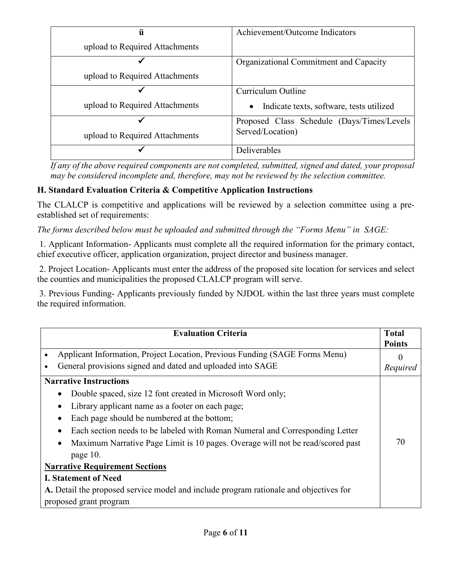| ü                              | Achievement/Outcome Indicators                        |
|--------------------------------|-------------------------------------------------------|
| upload to Required Attachments |                                                       |
|                                | Organizational Commitment and Capacity                |
| upload to Required Attachments |                                                       |
|                                | Curriculum Outline                                    |
| upload to Required Attachments | Indicate texts, software, tests utilized<br>$\bullet$ |
|                                | Proposed Class Schedule (Days/Times/Levels            |
| upload to Required Attachments | Served/Location)                                      |
|                                | <b>Deliverables</b>                                   |

*If any of the above required components are not completed, submitted, signed and dated, your proposal may be considered incomplete and, therefore, may not be reviewed by the selection committee.* 

## **H. Standard Evaluation Criteria & Competitive Application Instructions**

The CLALCP is competitive and applications will be reviewed by a selection committee using a preestablished set of requirements:

*The forms described below must be uploaded and submitted through the "Forms Menu" in SAGE:* 

1. Applicant Information- Applicants must complete all the required information for the primary contact, chief executive officer, application organization, project director and business manager.

2. Project Location- Applicants must enter the address of the proposed site location for services and select the counties and municipalities the proposed CLALCP program will serve.

3. Previous Funding- Applicants previously funded by NJDOL within the last three years must complete the required information.

| <b>Evaluation Criteria</b>                                                                                                                | <b>Total</b><br><b>Points</b> |
|-------------------------------------------------------------------------------------------------------------------------------------------|-------------------------------|
| Applicant Information, Project Location, Previous Funding (SAGE Forms Menu)<br>General provisions signed and dated and uploaded into SAGE |                               |
| <b>Narrative Instructions</b>                                                                                                             | Required                      |
| Double spaced, size 12 font created in Microsoft Word only;                                                                               |                               |
| Library applicant name as a footer on each page;                                                                                          |                               |
| Each page should be numbered at the bottom;                                                                                               |                               |
| Each section needs to be labeled with Roman Numeral and Corresponding Letter                                                              |                               |
| Maximum Narrative Page Limit is 10 pages. Overage will not be read/scored past                                                            | 70                            |
| page 10.                                                                                                                                  |                               |
| <b>Narrative Requirement Sections</b>                                                                                                     |                               |
| <b>I. Statement of Need</b>                                                                                                               |                               |
| A. Detail the proposed service model and include program rationale and objectives for                                                     |                               |
| proposed grant program                                                                                                                    |                               |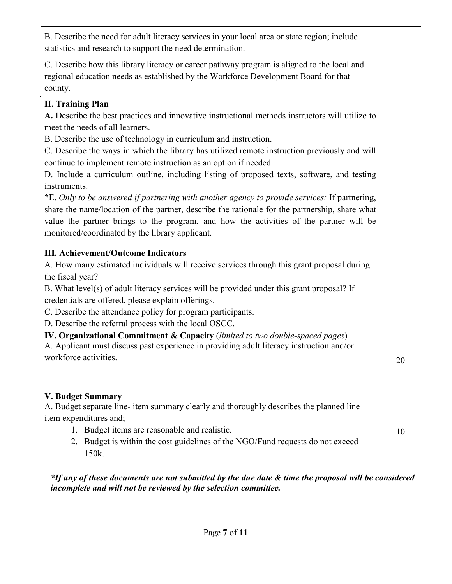B. Describe the need for adult literacy services in your local area or state region; include statistics and research to support the need determination.

C. Describe how this library literacy or career pathway program is aligned to the local and regional education needs as established by the Workforce Development Board for that county.

## **II. Training Plan**

**A.** Describe the best practices and innovative instructional methods instructors will utilize to meet the needs of all learners.

B. Describe the use of technology in curriculum and instruction.

C. Describe the ways in which the library has utilized remote instruction previously and will continue to implement remote instruction as an option if needed.

D. Include a curriculum outline, including listing of proposed texts, software, and testing instruments.

**\***E. *Only to be answered if partnering with another agency to provide services:* If partnering, share the name/location of the partner, describe the rationale for the partnership, share what value the partner brings to the program, and how the activities of the partner will be monitored/coordinated by the library applicant.

## **III. Achievement/Outcome Indicators**

A. How many estimated individuals will receive services through this grant proposal during the fiscal year?

B. What level(s) of adult literacy services will be provided under this grant proposal? If credentials are offered, please explain offerings.

C. Describe the attendance policy for program participants.

D. Describe the referral process with the local OSCC.

| <b>IV. Organizational Commitment &amp; Capacity</b> (limited to two double-spaced pages) |    |
|------------------------------------------------------------------------------------------|----|
| A. Applicant must discuss past experience in providing adult literacy instruction and/or |    |
| workforce activities.                                                                    | 20 |

#### **V. Budget Summary**

A. Budget separate line- item summary clearly and thoroughly describes the planned line item expenditures and;

- 1. Budget items are reasonable and realistic.
- 2. Budget is within the cost guidelines of the NGO/Fund requests do not exceed 150k.

*\*If any of these documents are not submitted by the due date & time the proposal will be considered incomplete and will not be reviewed by the selection committee.*

10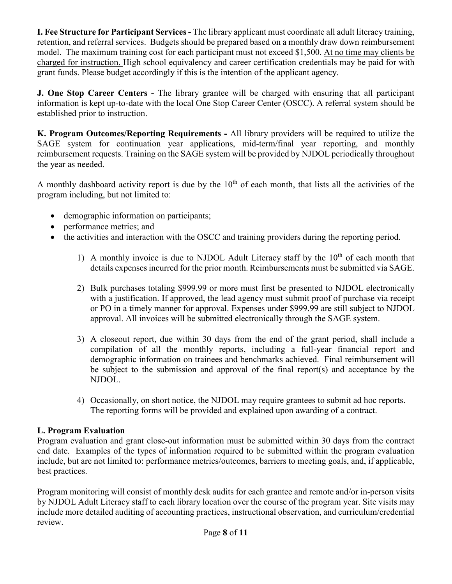**I. Fee Structure for Participant Services -** The library applicant must coordinate all adult literacy training, retention, and referral services. Budgets should be prepared based on a monthly draw down reimbursement model. The maximum training cost for each participant must not exceed \$1,500. At no time may clients be charged for instruction. High school equivalency and career certification credentials may be paid for with grant funds. Please budget accordingly if this is the intention of the applicant agency.

**J. One Stop Career Centers -** The library grantee will be charged with ensuring that all participant information is kept up-to-date with the local One Stop Career Center (OSCC). A referral system should be established prior to instruction.

**K. Program Outcomes/Reporting Requirements -** All library providers will be required to utilize the SAGE system for continuation year applications, mid-term/final year reporting, and monthly reimbursement requests. Training on the SAGE system will be provided by NJDOL periodically throughout the year as needed.

A monthly dashboard activity report is due by the  $10<sup>th</sup>$  of each month, that lists all the activities of the program including, but not limited to:

- demographic information on participants;
- performance metrics; and
- the activities and interaction with the OSCC and training providers during the reporting period.
	- 1) A monthly invoice is due to NJDOL Adult Literacy staff by the  $10<sup>th</sup>$  of each month that details expenses incurred for the prior month. Reimbursements must be submitted via SAGE.
	- 2) Bulk purchases totaling \$999.99 or more must first be presented to NJDOL electronically with a justification. If approved, the lead agency must submit proof of purchase via receipt or PO in a timely manner for approval. Expenses under \$999.99 are still subject to NJDOL approval. All invoices will be submitted electronically through the SAGE system.
	- 3) A closeout report, due within 30 days from the end of the grant period, shall include a compilation of all the monthly reports, including a full-year financial report and demographic information on trainees and benchmarks achieved. Final reimbursement will be subject to the submission and approval of the final report(s) and acceptance by the NJDOL.
	- 4) Occasionally, on short notice, the NJDOL may require grantees to submit ad hoc reports. The reporting forms will be provided and explained upon awarding of a contract.

#### **L. Program Evaluation**

Program evaluation and grant close-out information must be submitted within 30 days from the contract end date. Examples of the types of information required to be submitted within the program evaluation include, but are not limited to: performance metrics/outcomes, barriers to meeting goals, and, if applicable, best practices.

Program monitoring will consist of monthly desk audits for each grantee and remote and/or in-person visits by NJDOL Adult Literacy staff to each library location over the course of the program year. Site visits may include more detailed auditing of accounting practices, instructional observation, and curriculum/credential review.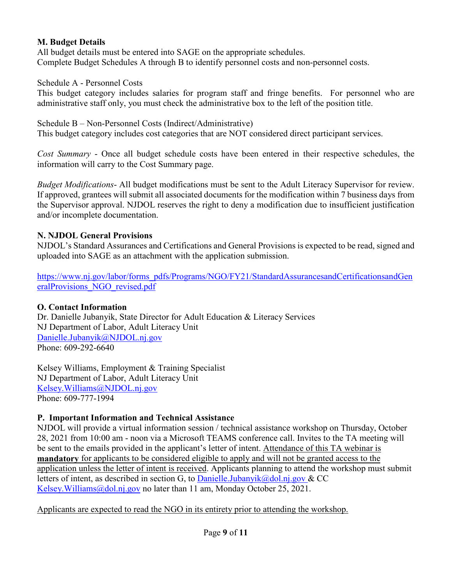#### **M. Budget Details**

All budget details must be entered into SAGE on the appropriate schedules. Complete Budget Schedules A through B to identify personnel costs and non-personnel costs.

#### Schedule A - Personnel Costs

This budget category includes salaries for program staff and fringe benefits. For personnel who are administrative staff only, you must check the administrative box to the left of the position title.

#### Schedule B – Non-Personnel Costs (Indirect/Administrative)

This budget category includes cost categories that are NOT considered direct participant services.

*Cost Summary* - Once all budget schedule costs have been entered in their respective schedules, the information will carry to the Cost Summary page.

*Budget Modifications*- All budget modifications must be sent to the Adult Literacy Supervisor for review. If approved, grantees will submit all associated documents for the modification within 7 business days from the Supervisor approval. NJDOL reserves the right to deny a modification due to insufficient justification and/or incomplete documentation.

#### **N. NJDOL General Provisions**

NJDOL's Standard Assurances and Certifications and General Provisions is expected to be read, signed and uploaded into SAGE as an attachment with the application submission.

[https://www.nj.gov/labor/forms\\_pdfs/Programs/NGO/FY21/StandardAssurancesandCertificationsandGen](https://www.nj.gov/labor/forms_pdfs/Programs/NGO/FY21/StandardAssurancesandCertificationsandGeneralProvisions_NGO_revised.pdf) [eralProvisions\\_NGO\\_revised.pdf](https://www.nj.gov/labor/forms_pdfs/Programs/NGO/FY21/StandardAssurancesandCertificationsandGeneralProvisions_NGO_revised.pdf)

#### **O. Contact Information**

Dr. Danielle Jubanyik, State Director for Adult Education & Literacy Services NJ Department of Labor, Adult Literacy Unit [Danielle.Jubanyik@NJDOL.nj.gov](mailto:Danielle.Jubanyik@dol.nj.gov) Phone: 609-292-6640

Kelsey Williams, Employment & Training Specialist NJ Department of Labor, Adult Literacy Unit [Kelsey.Williams@NJDOL.nj.gov](mailto:Kelsey.Williams@dol.nj.gov) Phone: 609-777-1994

#### **P. Important Information and Technical Assistance**

NJDOL will provide a virtual information session / technical assistance workshop on Thursday, October 28, 2021 from 10:00 am - noon via a Microsoft TEAMS conference call. Invites to the TA meeting will be sent to the emails provided in the applicant's letter of intent. Attendance of this TA webinar is **mandatory** for applicants to be considered eligible to apply and will not be granted access to the application unless the letter of intent is received. Applicants planning to attend the workshop must submit letters of intent, as described in section G, to [Danielle.Jubanyik@dol.nj.gov](mailto:Danielle.Jubanyik@dol.nj.gov) & CC Kelsey.Williams@dol.nj.gov no later than 11 am, Monday October 25, 2021.

Applicants are expected to read the NGO in its entirety prior to attending the workshop.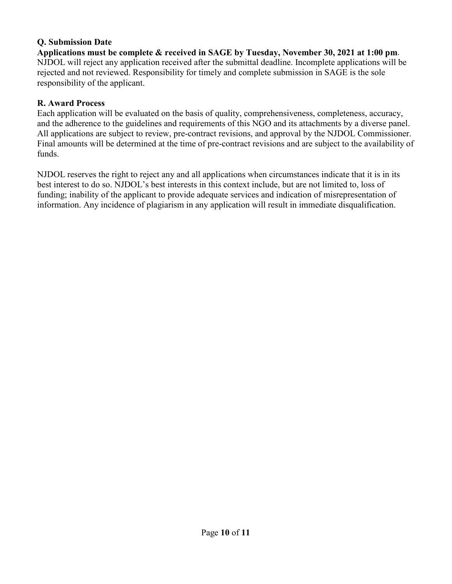#### **Q. Submission Date**

**Applications must be complete & received in SAGE by Tuesday, November 30, 2021 at 1:00 pm**. NJDOL will reject any application received after the submittal deadline. Incomplete applications will be rejected and not reviewed. Responsibility for timely and complete submission in SAGE is the sole responsibility of the applicant.

#### **R. Award Process**

Each application will be evaluated on the basis of quality, comprehensiveness, completeness, accuracy, and the adherence to the guidelines and requirements of this NGO and its attachments by a diverse panel. All applications are subject to review, pre-contract revisions, and approval by the NJDOL Commissioner. Final amounts will be determined at the time of pre-contract revisions and are subject to the availability of funds.

NJDOL reserves the right to reject any and all applications when circumstances indicate that it is in its best interest to do so. NJDOL's best interests in this context include, but are not limited to, loss of funding; inability of the applicant to provide adequate services and indication of misrepresentation of information. Any incidence of plagiarism in any application will result in immediate disqualification.